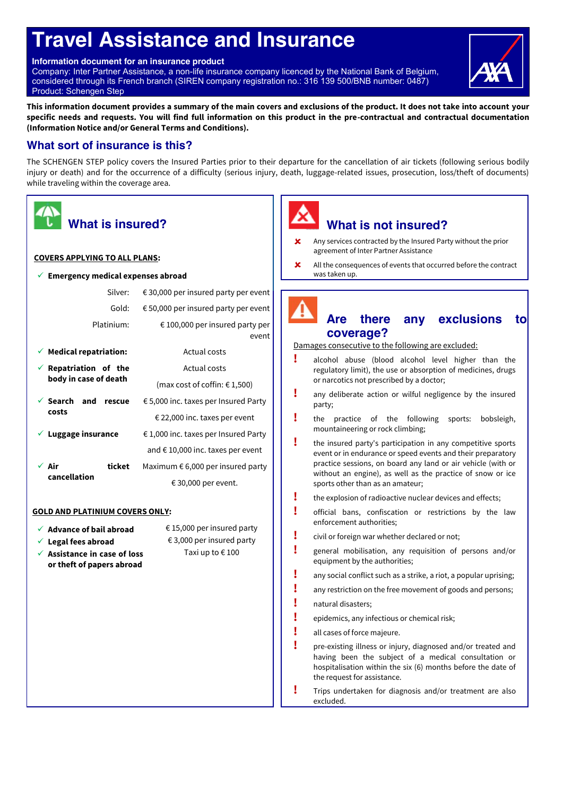# **Travel Assistance and Insurance**

**Information document for an insurance product**

Company: Inter Partner Assistance, a non-life insurance company licenced by the National Bank of Belgium, considered through its French branch (SIREN company registration no.: 316 139 500/BNB number: 0487) Product: Schengen Step



**This information document provides a summary of the main covers and exclusions of the product. It does not take into account your specific needs and requests. You will find full information on this product in the pre-contractual and contractual documentation (Information Notice and/or General Terms and Conditions).**

#### **What sort of insurance is this?**

The SCHENGEN STEP policy covers the Insured Parties prior to their departure for the cancellation of air tickets (following serious bodily injury or death) and for the occurrence of a difficulty (serious injury, death, luggage-related issues, prosecution, loss/theft of documents) while traveling within the coverage area.

| <b>What is insured?</b>                                                                 |                                            |  |  |
|-----------------------------------------------------------------------------------------|--------------------------------------------|--|--|
| <b>COVERS APPLYING TO ALL PLANS:</b>                                                    |                                            |  |  |
| <b>Emergency medical expenses abroad</b>                                                |                                            |  |  |
| Silver:                                                                                 | € 30,000 per insured party per event       |  |  |
| Gold:                                                                                   | € 50,000 per insured party per event       |  |  |
| Platinium:                                                                              | € 100,000 per insured party per<br>event   |  |  |
| $\checkmark$ Medical repatriation:<br>Actual costs                                      |                                            |  |  |
| $\checkmark$ Repatriation of the                                                        | Actual costs                               |  |  |
| body in case of death                                                                   | (max cost of coffin: $€ 1,500$ )           |  |  |
| Search and rescue                                                                       | € 5,000 inc. taxes per Insured Party       |  |  |
| costs                                                                                   | € 22,000 inc. taxes per event              |  |  |
| Luggage insurance                                                                       | € 1,000 inc. taxes per Insured Party       |  |  |
|                                                                                         | and $\epsilon$ 10,000 inc. taxes per event |  |  |
| ∕ Air<br>ticket                                                                         | Maximum $\epsilon$ 6,000 per insured party |  |  |
| cancellation                                                                            | € 30,000 per event.                        |  |  |
| <b>GOLD AND PLATINIUM COVERS ONLY:</b>                                                  |                                            |  |  |
| € 15,000 per insured party<br>$\checkmark$ Advance of bail abroad                       |                                            |  |  |
| $\checkmark$ Legal fees abroad                                                          | € 3,000 per insured party                  |  |  |
| Taxi up to €100<br>$\checkmark$ Assistance in case of loss<br>or theft of papers abroad |                                            |  |  |
|                                                                                         |                                            |  |  |

# **What is not insured?**

- Any services contracted by the Insured Party without the prior agreement of Inter Partner Assistance
- <sup> $\angle$ </sup> All the consequences of events that occurred before the contract was taken up.

# **Are there any exclusions to coverage?**

Damages consecutive to the following are excluded:

- **!** alcohol abuse (blood alcohol level higher than the regulatory limit), the use or absorption of medicines, drugs or narcotics not prescribed by a doctor;
- **!** any deliberate action or wilful negligence by the insured party;
- **!** the practice of the following sports: bobsleigh, mountaineering or rock climbing;
- **!** the insured party's participation in any competitive sports event or in endurance or speed events and their preparatory practice sessions, on board any land or air vehicle (with or without an engine), as well as the practice of snow or ice sports other than as an amateur;
- **!** the explosion of radioactive nuclear devices and effects;
- **!** official bans, confiscation or restrictions by the law enforcement authorities;
- **!** civil or foreign war whether declared or not;
- **!** general mobilisation, any requisition of persons and/or equipment by the authorities;
- **!** any social conflict such as a strike, a riot, a popular uprising;
- **!** any restriction on the free movement of goods and persons;
- **!** natural disasters;
- **!** epidemics, any infectious or chemical risk;
- **!** all cases of force majeure.
- **!** pre-existing illness or injury, diagnosed and/or treated and having been the subject of a medical consultation or hospitalisation within the six (6) months before the date of the request for assistance.
- **!** Trips undertaken for diagnosis and/or treatment are also excluded.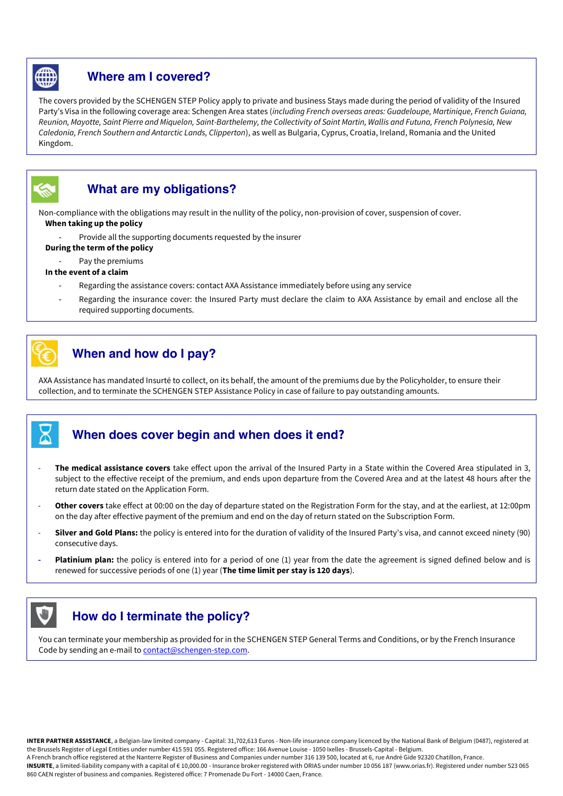

#### **Where am I covered?**

The covers provided by the SCHENGEN STEP Policy apply to private and business Stays made during the period of validity of the Insured Party's Visa in the following coverage area: Schengen Area states (including French overseas areas: Guadeloupe, Martinique, French Guiana, Reunion, Mayotte, Saint Pierre and Miquelon, Saint-Barthelemy, the Collectivity of Saint Martin, Wallis and Futuna, French Polynesia, New Caledonia, French Southern and Antarctic Lands, Clipperton), as well as Bulgaria, Cyprus, Croatia, Ireland, Romania and the United Kingdom.



#### **What are my obligations?**

Non-compliance with the obligations may result in the nullity of the policy, non-provision of cover, suspension of cover. **When taking up the policy**

**-** Provide all the supporting documents requested by the insurer

#### **During the term of the policy**

**-** Pay the premiums

#### **In the event of a claim**

- **-** Regarding the assistance covers: contact AXA Assistance immediately before using any service
- **-** Regarding the insurance cover: the Insured Party must declare the claim to AXA Assistance by email and enclose all the required supporting documents.

## **When and how do I pay?**

AXA Assistance has mandated Insurté to collect, on its behalf, the amount of the premiums due by the Policyholder, to ensure their collection, and to terminate the SCHENGEN STEP Assistance Policy in case of failure to pay outstanding amounts.

#### **When does cover begin and when does it end?**

- The medical assistance covers take effect upon the arrival of the Insured Party in a State within the Covered Area stipulated in 3, subject to the effective receipt of the premium, and ends upon departure from the Covered Area and at the latest 48 hours after the return date stated on the Application Form.
- Other covers take effect at 00:00 on the day of departure stated on the Registration Form for the stay, and at the earliest, at 12:00pm on the day after effective payment of the premium and end on the day of return stated on the Subscription Form.
- **Silver and Gold Plans:** the policy is entered into for the duration of validity of the Insured Party's visa, and cannot exceed ninety (90) consecutive days.
- **Platinium plan:** the policy is entered into for a period of one (1) year from the date the agreement is signed defined below and is renewed for successive periods of one (1) year (**The time limit per stay is 120 days**).

## **How do I terminate the policy?**

You can terminate your membership as provided for in the SCHENGEN STEP General Terms and Conditions, or by the French Insurance Code by sending an e-mail to contact@schengen-step.com.

**INTER PARTNER ASSISTANCE**, a Belgian-law limited company - Capital: 31,702,613 Euros - Non-life insurance company licenced by the National Bank of Belgium (0487), registered at the Brussels Register of Legal Entities under number 415 591 055. Registered office: 166 Avenue Louise - 1050 Ixelles - Brussels-Capital - Belgium.

A French branch office registered at the Nanterre Register of Business and Companies under number 316 139 500, located at 6, rue André Gide 92320 Chatillon, France.

**INSURTE**, a limited-liability company with a capital of € 10,000.00 - Insurance broker registered with ORIAS under number 10 056 187 (www.orias.fr). Registered under number 523 065 860 CAEN register of business and companies. Registered office: 7 Promenade Du Fort - 14000 Caen, France.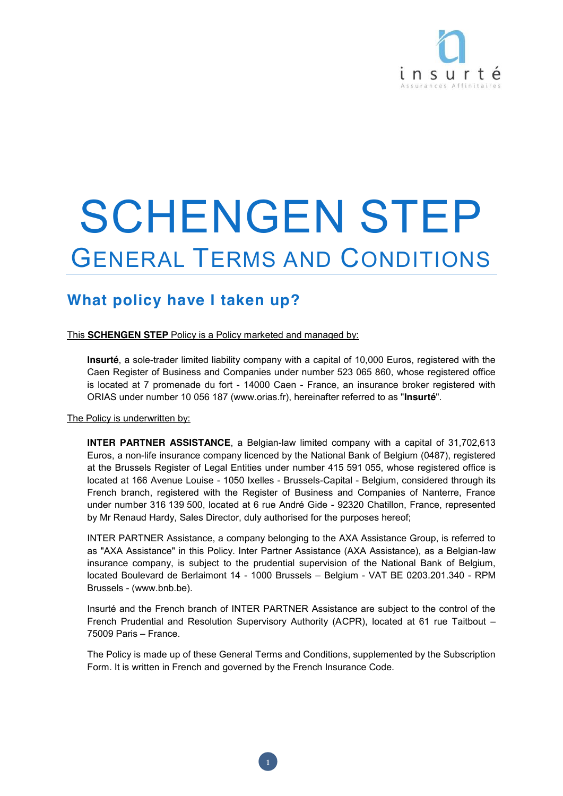

# SCHENGEN STEP GENERAL TERMS AND CONDITIONS

# **What policy have I taken up?**

This **SCHENGEN STEP** Policy is a Policy marketed and managed by:

**Insurté**, a sole-trader limited liability company with a capital of 10,000 Euros, registered with the Caen Register of Business and Companies under number 523 065 860, whose registered office is located at 7 promenade du fort - 14000 Caen - France, an insurance broker registered with ORIAS under number 10 056 187 (www.orias.fr), hereinafter referred to as "**Insurté**".

The Policy is underwritten by:

**INTER PARTNER ASSISTANCE**, a Belgian-law limited company with a capital of 31,702,613 Euros, a non-life insurance company licenced by the National Bank of Belgium (0487), registered at the Brussels Register of Legal Entities under number 415 591 055, whose registered office is located at 166 Avenue Louise - 1050 Ixelles - Brussels-Capital - Belgium, considered through its French branch, registered with the Register of Business and Companies of Nanterre, France under number 316 139 500, located at 6 rue André Gide - 92320 Chatillon, France, represented by Mr Renaud Hardy, Sales Director, duly authorised for the purposes hereof;

INTER PARTNER Assistance, a company belonging to the AXA Assistance Group, is referred to as "AXA Assistance" in this Policy. Inter Partner Assistance (AXA Assistance), as a Belgian-law insurance company, is subject to the prudential supervision of the National Bank of Belgium, located Boulevard de Berlaimont 14 - 1000 Brussels – Belgium - VAT BE 0203.201.340 - RPM Brussels - (www.bnb.be).

Insurté and the French branch of INTER PARTNER Assistance are subject to the control of the French Prudential and Resolution Supervisory Authority (ACPR), located at 61 rue Taitbout – 75009 Paris – France.

The Policy is made up of these General Terms and Conditions, supplemented by the Subscription Form. It is written in French and governed by the French Insurance Code.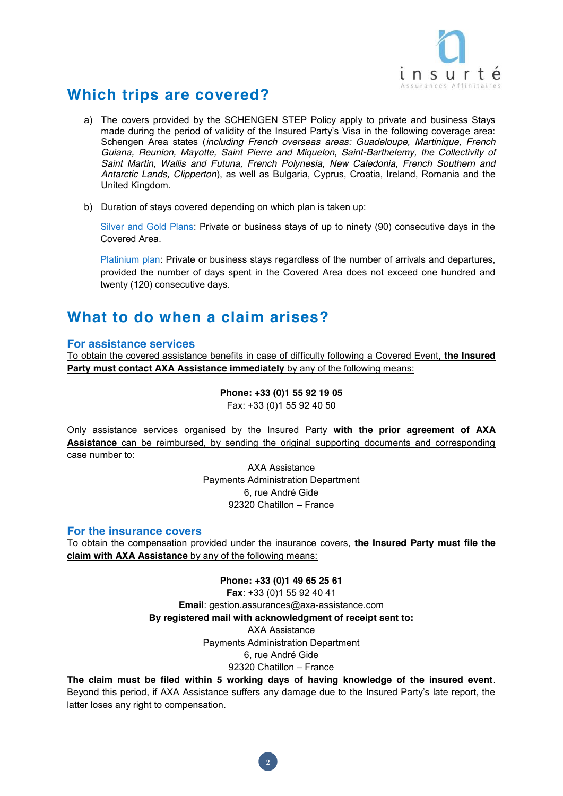

# **Which trips are covered?**

- a) The covers provided by the SCHENGEN STEP Policy apply to private and business Stays made during the period of validity of the Insured Party's Visa in the following coverage area: Schengen Area states (*including French overseas areas: Guadeloupe, Martinique, French Guiana, Reunion, Mayotte, Saint Pierre and Miquelon, Saint-Barthelemy, the Collectivity of Saint Martin, Wallis and Futuna, French Polynesia, New Caledonia, French Southern and Antarctic Lands, Clipperton*), as well as Bulgaria, Cyprus, Croatia, Ireland, Romania and the United Kingdom.
- b) Duration of stays covered depending on which plan is taken up:

Silver and Gold Plans: Private or business stays of up to ninety (90) consecutive days in the Covered Area.

Platinium plan: Private or business stays regardless of the number of arrivals and departures, provided the number of days spent in the Covered Area does not exceed one hundred and twenty (120) consecutive days.

## **What to do when a claim arises?**

#### **For assistance services**

To obtain the covered assistance benefits in case of difficulty following a Covered Event, **the Insured Party must contact AXA Assistance immediately** by any of the following means:

> **Phone: +33 (0)1 55 92 19 05** Fax: +33 (0)1 55 92 40 50

Only assistance services organised by the Insured Party **with the prior agreement of AXA Assistance** can be reimbursed, by sending the original supporting documents and corresponding case number to:

> AXA Assistance Payments Administration Department 6, rue André Gide 92320 Chatillon – France

#### **For the insurance covers**

To obtain the compensation provided under the insurance covers, **the Insured Party must file the claim with AXA Assistance** by any of the following means:

> **Phone: +33 (0)1 49 65 25 61 Fax**: +33 (0)1 55 92 40 41 **Email**: gestion.assurances@axa-assistance.com **By registered mail with acknowledgment of receipt sent to:** AXA Assistance Payments Administration Department 6, rue André Gide 92320 Chatillon – France

**The claim must be filed within 5 working days of having knowledge of the insured event**. Beyond this period, if AXA Assistance suffers any damage due to the Insured Party's late report, the latter loses any right to compensation.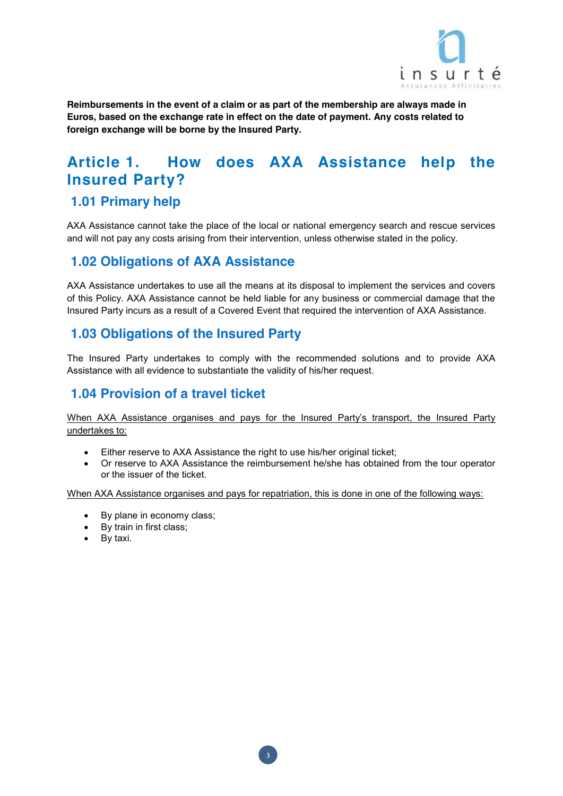

**Reimbursements in the event of a claim or as part of the membership are always made in Euros, based on the exchange rate in effect on the date of payment. Any costs related to foreign exchange will be borne by the Insured Party.**

# **Article 1. How does AXA Assistance help the Insured Party?**

## **1.01 Primary help**

AXA Assistance cannot take the place of the local or national emergency search and rescue services and will not pay any costs arising from their intervention, unless otherwise stated in the policy.

## **1.02 Obligations of AXA Assistance**

AXA Assistance undertakes to use all the means at its disposal to implement the services and covers of this Policy. AXA Assistance cannot be held liable for any business or commercial damage that the Insured Party incurs as a result of a Covered Event that required the intervention of AXA Assistance.

## **1.03 Obligations of the Insured Party**

The Insured Party undertakes to comply with the recommended solutions and to provide AXA Assistance with all evidence to substantiate the validity of his/her request.

## **1.04 Provision of a travel ticket**

When AXA Assistance organises and pays for the Insured Party's transport, the Insured Party undertakes to:

- Either reserve to AXA Assistance the right to use his/her original ticket;
- Or reserve to AXA Assistance the reimbursement he/she has obtained from the tour operator or the issuer of the ticket.

When AXA Assistance organises and pays for repatriation, this is done in one of the following ways:

- By plane in economy class;
- By train in first class;
- $\bullet$  By taxi.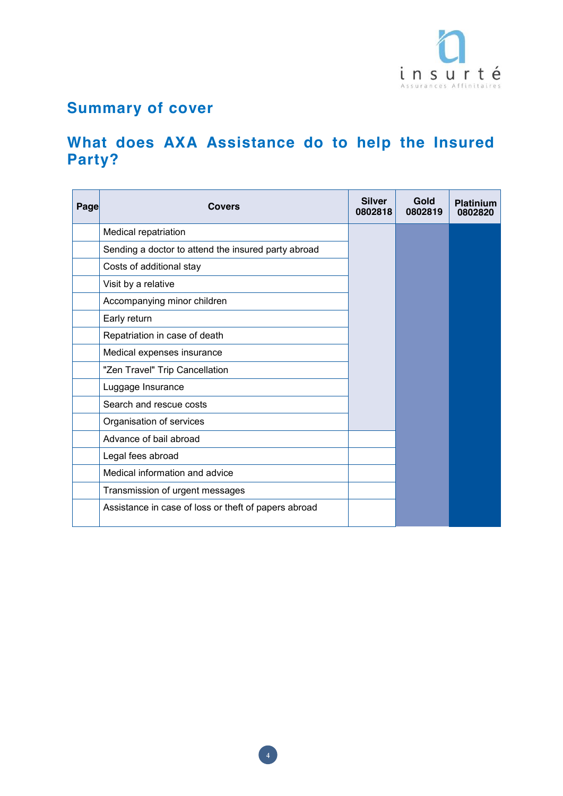

# **Summary of cover**

# **What does AXA Assistance do to help the Insured Party?**

| Page | <b>Covers</b>                                        | <b>Silver</b><br>0802818 | Gold<br>0802819 | <b>Platinium</b><br>0802820 |
|------|------------------------------------------------------|--------------------------|-----------------|-----------------------------|
|      | Medical repatriation                                 |                          |                 |                             |
|      | Sending a doctor to attend the insured party abroad  |                          |                 |                             |
|      | Costs of additional stay                             |                          |                 |                             |
|      | Visit by a relative                                  |                          |                 |                             |
|      | Accompanying minor children                          |                          |                 |                             |
|      | Early return                                         |                          |                 |                             |
|      | Repatriation in case of death                        |                          |                 |                             |
|      | Medical expenses insurance                           |                          |                 |                             |
|      | "Zen Travel" Trip Cancellation                       |                          |                 |                             |
|      | Luggage Insurance                                    |                          |                 |                             |
|      | Search and rescue costs                              |                          |                 |                             |
|      | Organisation of services                             |                          |                 |                             |
|      | Advance of bail abroad                               |                          |                 |                             |
|      | Legal fees abroad                                    |                          |                 |                             |
|      | Medical information and advice                       |                          |                 |                             |
|      | Transmission of urgent messages                      |                          |                 |                             |
|      | Assistance in case of loss or theft of papers abroad |                          |                 |                             |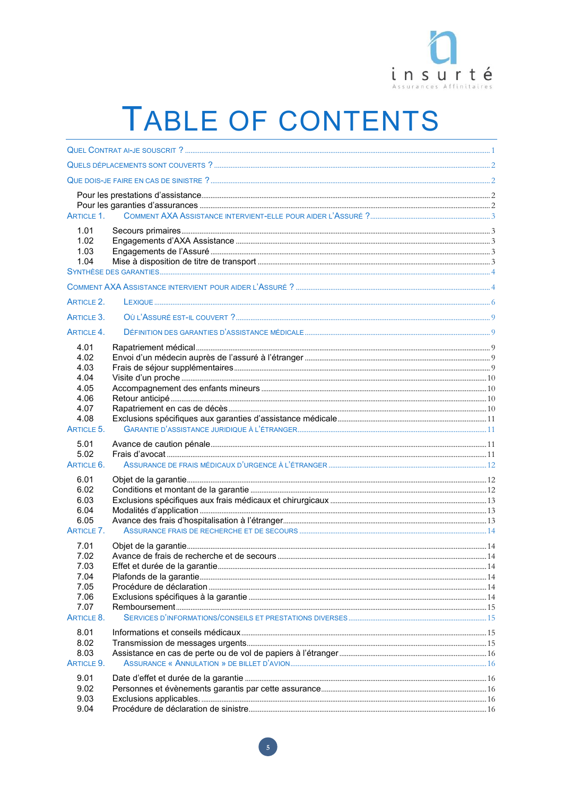

# TABLE OF CONTENTS

| ARTICLE 1.                                                         |  |
|--------------------------------------------------------------------|--|
| 1.01<br>1.02<br>1.03<br>1.04                                       |  |
|                                                                    |  |
| ARTICLE 2.                                                         |  |
| ARTICLE 3.                                                         |  |
| ARTICLE 4.                                                         |  |
| 4.01<br>4.02<br>4.03<br>4.04                                       |  |
| 4.05<br>4.06<br>4.07                                               |  |
| 4.08<br>ARTICLE 5.                                                 |  |
| 5.01<br>5.02<br>ARTICLE 6.                                         |  |
| 6.01<br>6.02<br>6.03<br>6.04<br>6.05<br>ARTICLE 7.                 |  |
| 7.01<br>7.02<br>7.03<br>7.04<br>7.05<br>7.06<br>7.07<br>ARTICLE 8. |  |
| 8.01<br>8.02<br>8.03<br>ARTICLE 9.                                 |  |
| 9.01<br>9.02<br>9.03<br>9.04                                       |  |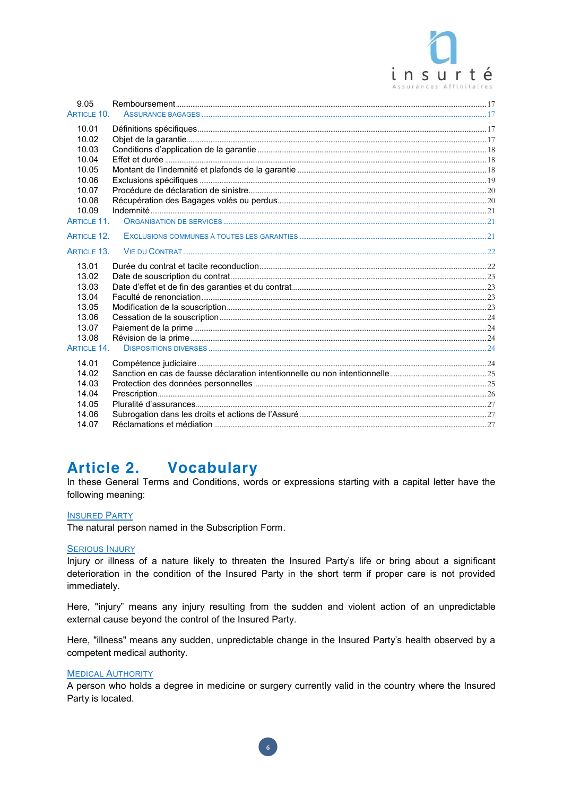

| 9.05<br>ARTICLE 10.         |  |
|-----------------------------|--|
|                             |  |
| 10.01                       |  |
| 10.02                       |  |
| 10.03                       |  |
| 10.04                       |  |
| 10.05                       |  |
| 10.06                       |  |
| 10.07                       |  |
| 10.08                       |  |
| 10.09<br><b>ARTICLE 11.</b> |  |
|                             |  |
| <b>ARTICLE 12.</b>          |  |
| <b>ARTICLE 13.</b>          |  |
| 13.01                       |  |
| 13.02                       |  |
| 13.03                       |  |
| 13.04                       |  |
| 13.05                       |  |
| 13.06                       |  |
| 13.07                       |  |
| 13.08                       |  |
| <b>ARTICLE 14.</b>          |  |
| 14.01                       |  |
| 14.02                       |  |
| 14.03                       |  |
| 14.04                       |  |
| 14.05                       |  |
| 14.06                       |  |
| 14.07                       |  |

#### **Article 2. Vocabulary**

In these General Terms and Conditions, words or expressions starting with a capital letter have the following meaning:

#### **INSURED PARTY**

The natural person named in the Subscription Form.

#### **SERIOUS INJURY**

Injury or illness of a nature likely to threaten the Insured Party's life or bring about a significant deterioration in the condition of the Insured Party in the short term if proper care is not provided immediately.

Here, "injury" means any injury resulting from the sudden and violent action of an unpredictable external cause beyond the control of the Insured Party.

Here, "illness" means any sudden, unpredictable change in the Insured Party's health observed by a competent medical authority.

#### **MEDICAL AUTHORITY**

A person who holds a degree in medicine or surgery currently valid in the country where the Insured Party is located.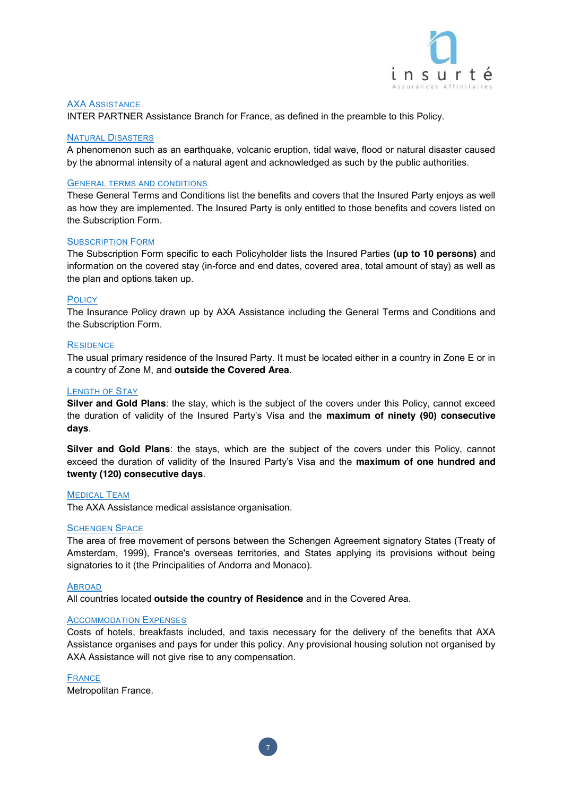

#### AXA ASSISTANCE

INTER PARTNER Assistance Branch for France, as defined in the preamble to this Policy.

#### NATURAL DISASTERS

A phenomenon such as an earthquake, volcanic eruption, tidal wave, flood or natural disaster caused by the abnormal intensity of a natural agent and acknowledged as such by the public authorities.

#### GENERAL TERMS AND CONDITIONS

These General Terms and Conditions list the benefits and covers that the Insured Party enjoys as well as how they are implemented. The Insured Party is only entitled to those benefits and covers listed on the Subscription Form.

#### SUBSCRIPTION FORM

The Subscription Form specific to each Policyholder lists the Insured Parties **(up to 10 persons)** and information on the covered stay (in-force and end dates, covered area, total amount of stay) as well as the plan and options taken up.

#### **POLICY**

The Insurance Policy drawn up by AXA Assistance including the General Terms and Conditions and the Subscription Form.

#### **RESIDENCE**

The usual primary residence of the Insured Party. It must be located either in a country in Zone E or in a country of Zone M, and **outside the Covered Area**.

#### LENGTH OF STAY

**Silver and Gold Plans**: the stay, which is the subject of the covers under this Policy, cannot exceed the duration of validity of the Insured Party's Visa and the **maximum of ninety (90) consecutive days**.

**Silver and Gold Plans**: the stays, which are the subject of the covers under this Policy, cannot exceed the duration of validity of the Insured Party's Visa and the **maximum of one hundred and twenty (120) consecutive days**.

#### MEDICAL TEAM

The AXA Assistance medical assistance organisation.

#### SCHENGEN SPACE

The area of free movement of persons between the Schengen Agreement signatory States (Treaty of Amsterdam, 1999), France's overseas territories, and States applying its provisions without being signatories to it (the Principalities of Andorra and Monaco).

#### ABROAD

All countries located **outside the country of Residence** and in the Covered Area.

#### ACCOMMODATION EXPENSES

Costs of hotels, breakfasts included, and taxis necessary for the delivery of the benefits that AXA Assistance organises and pays for under this policy. Any provisional housing solution not organised by AXA Assistance will not give rise to any compensation.

**7**

#### FRANCE

Metropolitan France.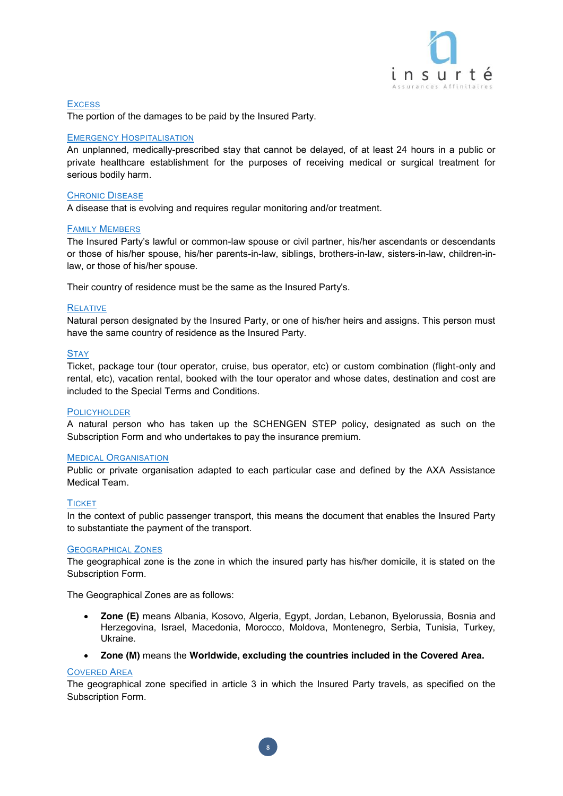

**Excess** The portion of the damages to be paid by the Insured Party.

#### EMERGENCY HOSPITALISATION

An unplanned, medically-prescribed stay that cannot be delayed, of at least 24 hours in a public or private healthcare establishment for the purposes of receiving medical or surgical treatment for serious bodily harm.

#### CHRONIC DISEASE

A disease that is evolving and requires regular monitoring and/or treatment.

#### FAMILY MEMBERS

The Insured Party's lawful or common-law spouse or civil partner, his/her ascendants or descendants or those of his/her spouse, his/her parents-in-law, siblings, brothers-in-law, sisters-in-law, children-inlaw, or those of his/her spouse.

Their country of residence must be the same as the Insured Party's.

#### RELATIVE

Natural person designated by the Insured Party, or one of his/her heirs and assigns. This person must have the same country of residence as the Insured Party.

#### **STAY**

Ticket, package tour (tour operator, cruise, bus operator, etc) or custom combination (flight-only and rental, etc), vacation rental, booked with the tour operator and whose dates, destination and cost are included to the Special Terms and Conditions.

#### **POLICYHOLDER**

A natural person who has taken up the SCHENGEN STEP policy, designated as such on the Subscription Form and who undertakes to pay the insurance premium.

#### MEDICAL ORGANISATION

Public or private organisation adapted to each particular case and defined by the AXA Assistance Medical Team.

#### **TICKET**

In the context of public passenger transport, this means the document that enables the Insured Party to substantiate the payment of the transport.

#### GEOGRAPHICAL ZONES

The geographical zone is the zone in which the insured party has his/her domicile, it is stated on the Subscription Form.

The Geographical Zones are as follows:

- x **Zone (E)** means Albania, Kosovo, Algeria, Egypt, Jordan, Lebanon, Byelorussia, Bosnia and Herzegovina, Israel, Macedonia, Morocco, Moldova, Montenegro, Serbia, Tunisia, Turkey, Ukraine.
- x **Zone (M)** means the **Worldwide, excluding the countries included in the Covered Area.**

#### COVERED AREA

The geographical zone specified in article 3 in which the Insured Party travels, as specified on the Subscription Form.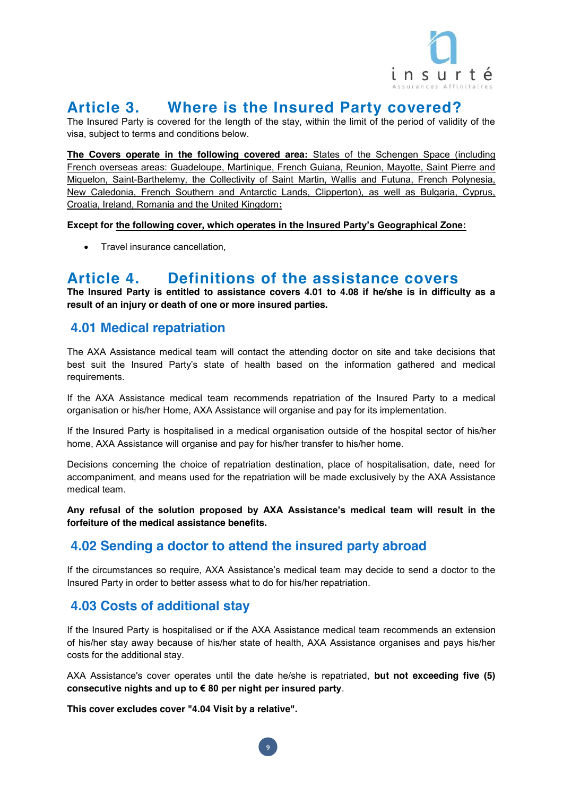

# **Article 3. Where is the Insured Party covered?**

The Insured Party is covered for the length of the stay, within the limit of the period of validity of the visa, subject to terms and conditions below.

**The Covers operate in the following covered area:** States of the Schengen Space (including French overseas areas: Guadeloupe, Martinique, French Guiana, Reunion, Mayotte, Saint Pierre and Miquelon, Saint-Barthelemy, the Collectivity of Saint Martin, Wallis and Futuna, French Polynesia, New Caledonia, French Southern and Antarctic Lands, Clipperton), as well as Bulgaria, Cyprus, Croatia, Ireland, Romania and the United Kingdom**:**

**Except for the following cover, which operates in the Insured Party's Geographical Zone:**

• Travel insurance cancellation,

## **Article 4. Definitions of the assistance covers**

**The Insured Party is entitled to assistance covers 4.01 to 4.08 if he/she is in difficulty as a result of an injury or death of one or more insured parties.**

## **4.01 Medical repatriation**

The AXA Assistance medical team will contact the attending doctor on site and take decisions that best suit the Insured Party's state of health based on the information gathered and medical requirements.

If the AXA Assistance medical team recommends repatriation of the Insured Party to a medical organisation or his/her Home, AXA Assistance will organise and pay for its implementation.

If the Insured Party is hospitalised in a medical organisation outside of the hospital sector of his/her home, AXA Assistance will organise and pay for his/her transfer to his/her home.

Decisions concerning the choice of repatriation destination, place of hospitalisation, date, need for accompaniment, and means used for the repatriation will be made exclusively by the AXA Assistance medical team.

**Any refusal of the solution proposed by AXA Assistance's medical team will result in the forfeiture of the medical assistance benefits.**

## **4.02 Sending a doctor to attend the insured party abroad**

If the circumstances so require, AXA Assistance's medical team may decide to send a doctor to the Insured Party in order to better assess what to do for his/her repatriation.

## **4.03 Costs of additional stay**

If the Insured Party is hospitalised or if the AXA Assistance medical team recommends an extension of his/her stay away because of his/her state of health, AXA Assistance organises and pays his/her costs for the additional stay.

AXA Assistance's cover operates until the date he/she is repatriated, **but not exceeding five (5) consecutive nights and up to € 80 per night per insured party**.

**9**

**This cover excludes cover "4.04 Visit by a relative".**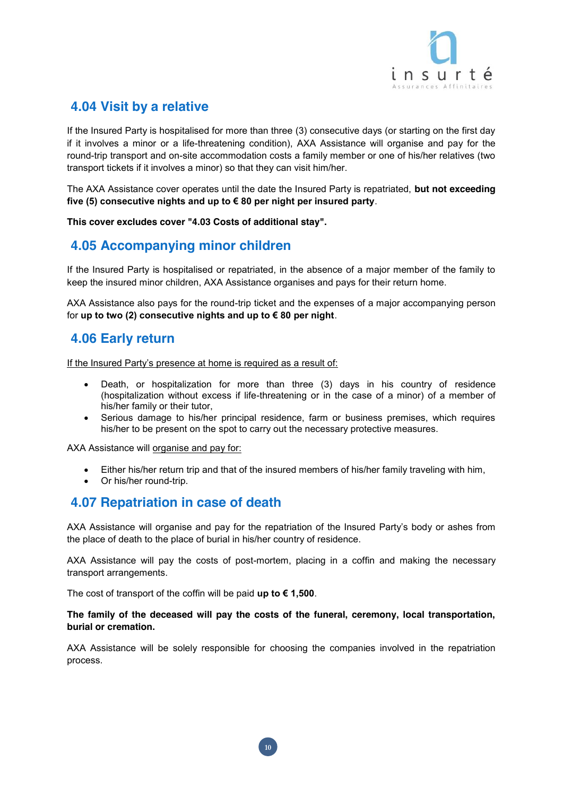

## **4.04 Visit by a relative**

If the Insured Party is hospitalised for more than three (3) consecutive days (or starting on the first day if it involves a minor or a life-threatening condition), AXA Assistance will organise and pay for the round-trip transport and on-site accommodation costs a family member or one of his/her relatives (two transport tickets if it involves a minor) so that they can visit him/her.

The AXA Assistance cover operates until the date the Insured Party is repatriated, **but not exceeding five (5) consecutive nights and up to € 80 per night per insured party**.

**This cover excludes cover "4.03 Costs of additional stay".**

## **4.05 Accompanying minor children**

If the Insured Party is hospitalised or repatriated, in the absence of a major member of the family to keep the insured minor children, AXA Assistance organises and pays for their return home.

AXA Assistance also pays for the round-trip ticket and the expenses of a major accompanying person for **up to two (2) consecutive nights and up to € 80 per night**.

## **4.06 Early return**

If the Insured Party's presence at home is required as a result of:

- Death, or hospitalization for more than three (3) days in his country of residence (hospitalization without excess if life-threatening or in the case of a minor) of a member of his/her family or their tutor,
- Serious damage to his/her principal residence, farm or business premises, which requires his/her to be present on the spot to carry out the necessary protective measures.

AXA Assistance will organise and pay for:

- Either his/her return trip and that of the insured members of his/her family traveling with him,
- Or his/her round-trip.

## **4.07 Repatriation in case of death**

AXA Assistance will organise and pay for the repatriation of the Insured Party's body or ashes from the place of death to the place of burial in his/her country of residence.

AXA Assistance will pay the costs of post-mortem, placing in a coffin and making the necessary transport arrangements.

The cost of transport of the coffin will be paid **up to € 1,500**.

#### **The family of the deceased will pay the costs of the funeral, ceremony, local transportation, burial or cremation.**

AXA Assistance will be solely responsible for choosing the companies involved in the repatriation process.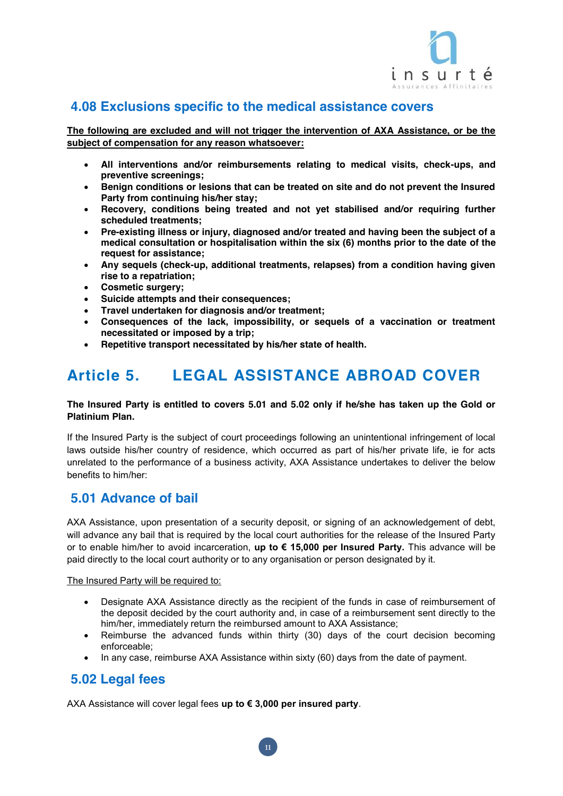

## **4.08 Exclusions specific to the medical assistance covers**

**The following are excluded and will not trigger the intervention of AXA Assistance, or be the subject of compensation for any reason whatsoever:**

- x **All interventions and/or reimbursements relating to medical visits, check-ups, and preventive screenings;**
- **E** Benign conditions or lesions that can be treated on site and do not prevent the Insured **Party from continuing his/her stay;**
- **EXECOVER ADIMENT ADIMENT SHEADED IS A REPOSED FOR DEADIMENT IS READIMENT ADIMENT SHEADIMENT SHEADIMENT ADIMENT SHEADIMENT ADIMENT SHEADIMENT ADIMENT SHEADIMENT SHEADIMENT SHEADIMENT SHEADIMENT SHEADIMENT SHEADIMENT SHEADI scheduled treatments;**
- **•** Pre-existing illness or injury, diagnosed and/or treated and having been the subject of a **medical consultation or hospitalisation within the six (6) months prior to the date of the request for assistance;**
- x **Any sequels (check-up, additional treatments, relapses) from a condition having given rise to a repatriation;**
- x **Cosmetic surgery;**
- x **Suicide attempts and their consequences;**
- **Travel undertaken for diagnosis and/or treatment:**
- x **Consequences of the lack, impossibility, or sequels of a vaccination or treatment necessitated or imposed by a trip;**
- x **Repetitive transport necessitated by his/her state of health.**

# **Article 5. LEGAL ASSISTANCE ABROAD COVER**

#### **The Insured Party is entitled to covers 5.01 and 5.02 only if he/she has taken up the Gold or Platinium Plan.**

If the Insured Party is the subject of court proceedings following an unintentional infringement of local laws outside his/her country of residence, which occurred as part of his/her private life, ie for acts unrelated to the performance of a business activity, AXA Assistance undertakes to deliver the below benefits to him/her:

## **5.01 Advance of bail**

AXA Assistance, upon presentation of a security deposit, or signing of an acknowledgement of debt, will advance any bail that is required by the local court authorities for the release of the Insured Party or to enable him/her to avoid incarceration, **up to € 15,000 per Insured Party.** This advance will be paid directly to the local court authority or to any organisation or person designated by it.

The Insured Party will be required to:

- Designate AXA Assistance directly as the recipient of the funds in case of reimbursement of the deposit decided by the court authority and, in case of a reimbursement sent directly to the him/her, immediately return the reimbursed amount to AXA Assistance;
- Reimburse the advanced funds within thirty (30) days of the court decision becoming enforceable;
- $\bullet$  In any case, reimburse AXA Assistance within sixty (60) days from the date of payment.

## **5.02 Legal fees**

AXA Assistance will cover legal fees **up to € 3,000 per insured party**.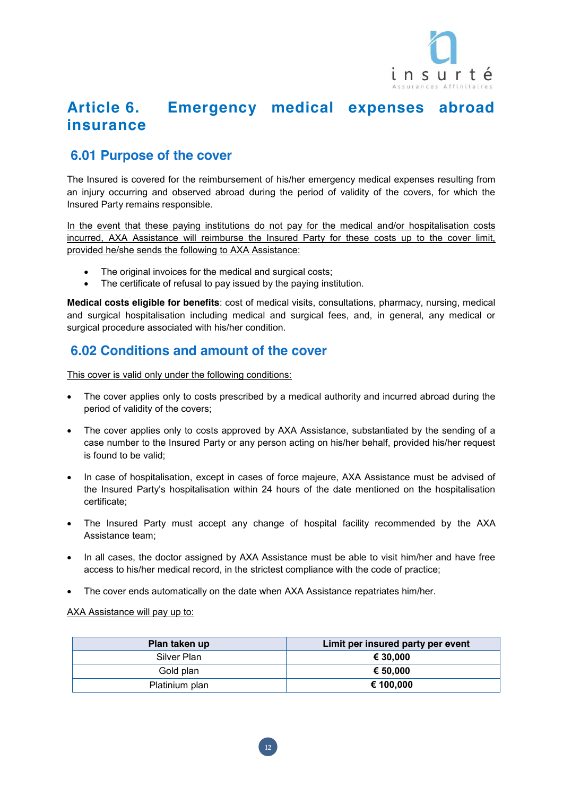

# **Article 6. Emergency medical expenses abroad insurance**

# **6.01 Purpose of the cover**

The Insured is covered for the reimbursement of his/her emergency medical expenses resulting from an injury occurring and observed abroad during the period of validity of the covers, for which the Insured Party remains responsible.

In the event that these paying institutions do not pay for the medical and/or hospitalisation costs incurred, AXA Assistance will reimburse the Insured Party for these costs up to the cover limit, provided he/she sends the following to AXA Assistance:

- The original invoices for the medical and surgical costs;
- The certificate of refusal to pay issued by the paying institution.

**Medical costs eligible for benefits**: cost of medical visits, consultations, pharmacy, nursing, medical and surgical hospitalisation including medical and surgical fees, and, in general, any medical or surgical procedure associated with his/her condition.

## **6.02 Conditions and amount of the cover**

This cover is valid only under the following conditions:

- The cover applies only to costs prescribed by a medical authority and incurred abroad during the period of validity of the covers;
- The cover applies only to costs approved by AXA Assistance, substantiated by the sending of a case number to the Insured Party or any person acting on his/her behalf, provided his/her request is found to be valid;
- In case of hospitalisation, except in cases of force majeure, AXA Assistance must be advised of the Insured Party's hospitalisation within 24 hours of the date mentioned on the hospitalisation certificate;
- The Insured Party must accept any change of hospital facility recommended by the AXA Assistance team;
- In all cases, the doctor assigned by AXA Assistance must be able to visit him/her and have free access to his/her medical record, in the strictest compliance with the code of practice;
- The cover ends automatically on the date when AXA Assistance repatriates him/her.

#### AXA Assistance will pay up to:

| Plan taken up  | Limit per insured party per event |
|----------------|-----------------------------------|
| Silver Plan    | € 30,000                          |
| Gold plan      | € 50,000                          |
| Platinium plan | € 100.000                         |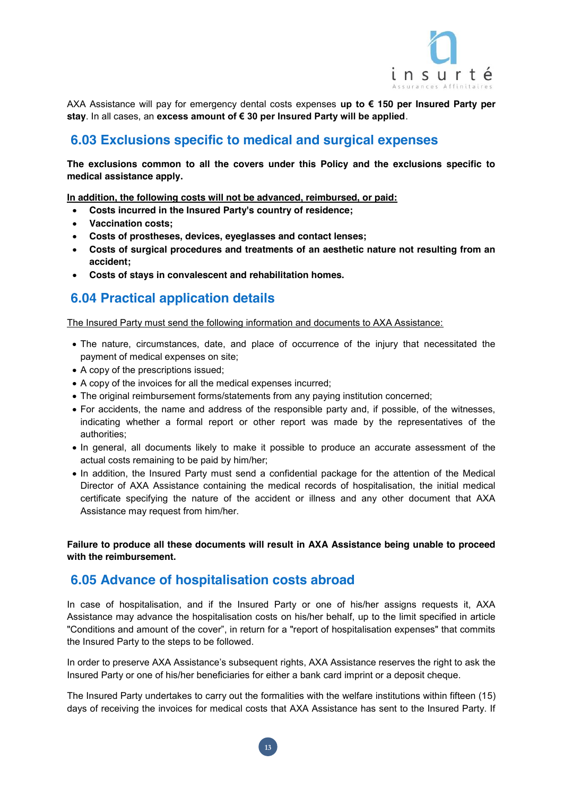

AXA Assistance will pay for emergency dental costs expenses **up to € 150 per Insured Party per stay**. In all cases, an **excess amount of € 30 per Insured Party will be applied**.

## **6.03 Exclusions specific to medical and surgical expenses**

**The exclusions common to all the covers under this Policy and the exclusions specific to medical assistance apply.**

**In addition, the following costs will not be advanced, reimbursed, or paid:**

- x **Costs incurred in the Insured Party's country of residence;**
- x **Vaccination costs;**
- x **Costs of prostheses, devices, eyeglasses and contact lenses;**
- Costs of surgical procedures and treatments of an aesthetic nature not resulting from an **accident;**
- x **Costs of stays in convalescent and rehabilitation homes.**

## **6.04 Practical application details**

The Insured Party must send the following information and documents to AXA Assistance:

- The nature, circumstances, date, and place of occurrence of the injury that necessitated the payment of medical expenses on site;
- A copy of the prescriptions issued;
- A copy of the invoices for all the medical expenses incurred;
- The original reimbursement forms/statements from any paying institution concerned;
- For accidents, the name and address of the responsible party and, if possible, of the witnesses, indicating whether a formal report or other report was made by the representatives of the authorities;
- In general, all documents likely to make it possible to produce an accurate assessment of the actual costs remaining to be paid by him/her;
- In addition, the Insured Party must send a confidential package for the attention of the Medical Director of AXA Assistance containing the medical records of hospitalisation, the initial medical certificate specifying the nature of the accident or illness and any other document that AXA Assistance may request from him/her.

**Failure to produce all these documents will result in AXA Assistance being unable to proceed with the reimbursement.**

#### **6.05 Advance of hospitalisation costs abroad**

In case of hospitalisation, and if the Insured Party or one of his/her assigns requests it, AXA Assistance may advance the hospitalisation costs on his/her behalf, up to the limit specified in article "Conditions and amount of the cover", in return for a "report of hospitalisation expenses" that commits the Insured Party to the steps to be followed.

In order to preserve AXA Assistance's subsequent rights, AXA Assistance reserves the right to ask the Insured Party or one of his/her beneficiaries for either a bank card imprint or a deposit cheque.

The Insured Party undertakes to carry out the formalities with the welfare institutions within fifteen (15) days of receiving the invoices for medical costs that AXA Assistance has sent to the Insured Party. If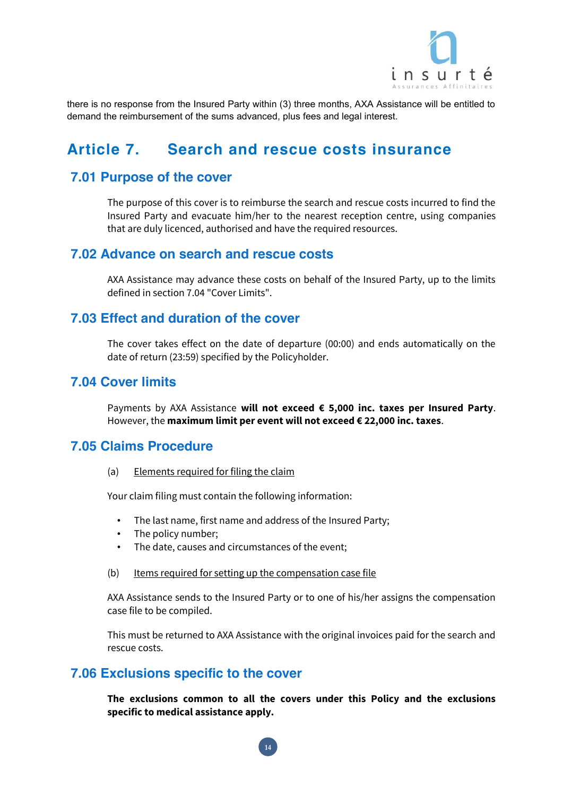

there is no response from the Insured Party within (3) three months, AXA Assistance will be entitled to demand the reimbursement of the sums advanced, plus fees and legal interest.

# **Article 7. Search and rescue costs insurance**

## **7.01 Purpose of the cover**

The purpose of this cover is to reimburse the search and rescue costs incurred to find the Insured Party and evacuate him/her to the nearest reception centre, using companies that are duly licenced, authorised and have the required resources.

#### **7.02 Advance on search and rescue costs**

AXA Assistance may advance these costs on behalf of the Insured Party, up to the limits defined in section 7.04 "Cover Limits".

#### **7.03 Effect and duration of the cover**

The cover takes effect on the date of departure (00:00) and ends automatically on the date of return (23:59) specified by the Policyholder.

#### **7.04 Cover limits**

Payments by AXA Assistance **will not exceed € 5,000 inc. taxes per Insured Party**. However, the **maximum limit per event will not exceed € 22,000 inc. taxes**.

## **7.05 Claims Procedure**

#### (a) Elements required for filing the claim

Your claim filing must contain the following information:

- The last name, first name and address of the Insured Party;
- The policy number;
- The date, causes and circumstances of the event;
- (b) Items required for setting up the compensation case file

AXA Assistance sends to the Insured Party or to one of his/her assigns the compensation case file to be compiled.

This must be returned to AXA Assistance with the original invoices paid for the search and rescue costs.

#### **7.06 Exclusions specific to the cover**

**The exclusions common to all the covers under this Policy and the exclusions specific to medical assistance apply.**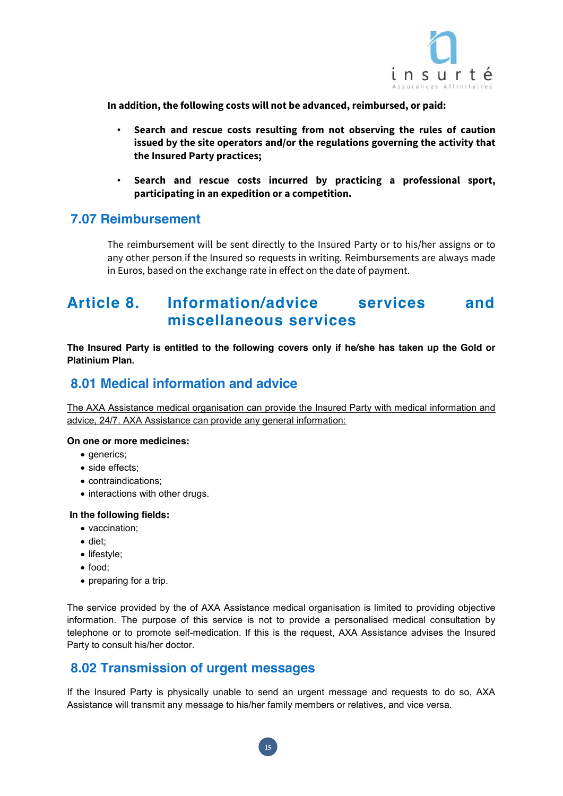

**In addition, the following costs will not be advanced, reimbursed, or paid:** 

- **Search and rescue costs resulting from not observing the rules of caution issued by the site operators and/or the regulations governing the activity that the Insured Party practices;**
- **Search and rescue costs incurred by practicing a professional sport, participating in an expedition or a competition.**

## **7.07 Reimbursement**

The reimbursement will be sent directly to the Insured Party or to his/her assigns or to any other person if the Insured so requests in writing. Reimbursements are always made in Euros, based on the exchange rate in effect on the date of payment.

# **Article 8. Information/advice services and miscellaneous services**

**The Insured Party is entitled to the following covers only if he/she has taken up the Gold or Platinium Plan.**

## **8.01 Medical information and advice**

The AXA Assistance medical organisation can provide the Insured Party with medical information and advice, 24/7. AXA Assistance can provide any general information:

#### **On one or more medicines:**

- $\bullet$  generics:
- side effects:
- contraindications:
- interactions with other drugs.

#### **In the following fields:**

- vaccination:
- diet;
- $\bullet$  lifestyle:
- food:
- $\bullet$  preparing for a trip.

The service provided by the of AXA Assistance medical organisation is limited to providing objective information. The purpose of this service is not to provide a personalised medical consultation by telephone or to promote self-medication. If this is the request, AXA Assistance advises the Insured Party to consult his/her doctor.

## **8.02 Transmission of urgent messages**

If the Insured Party is physically unable to send an urgent message and requests to do so, AXA Assistance will transmit any message to his/her family members or relatives, and vice versa.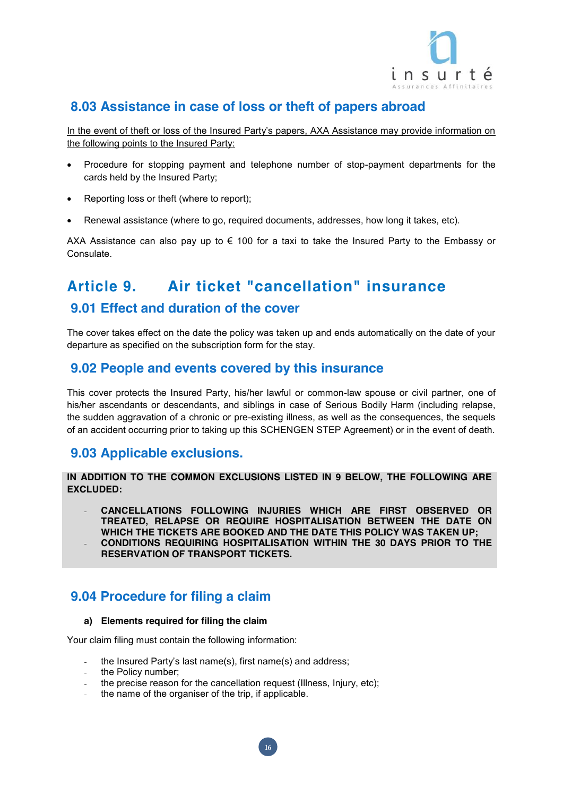

## **8.03 Assistance in case of loss or theft of papers abroad**

In the event of theft or loss of the Insured Party's papers, AXA Assistance may provide information on the following points to the Insured Party:

- Procedure for stopping payment and telephone number of stop-payment departments for the cards held by the Insured Party;
- Reporting loss or theft (where to report);
- Renewal assistance (where to go, required documents, addresses, how long it takes, etc).

AXA Assistance can also pay up to  $\epsilon$  100 for a taxi to take the Insured Party to the Embassy or Consulate.

# **Article 9. Air ticket "cancellation" insurance**

## **9.01 Effect and duration of the cover**

The cover takes effect on the date the policy was taken up and ends automatically on the date of your departure as specified on the subscription form for the stay.

### **9.02 People and events covered by this insurance**

This cover protects the Insured Party, his/her lawful or common-law spouse or civil partner, one of his/her ascendants or descendants, and siblings in case of Serious Bodily Harm (including relapse, the sudden aggravation of a chronic or pre-existing illness, as well as the consequences, the sequels of an accident occurring prior to taking up this SCHENGEN STEP Agreement) or in the event of death.

## **9.03 Applicable exclusions.**

**IN ADDITION TO THE COMMON EXCLUSIONS LISTED IN 9 BELOW, THE FOLLOWING ARE EXCLUDED:**

- **CANCELLATIONS FOLLOWING INJURIES WHICH ARE FIRST OBSERVED OR TREATED, RELAPSE OR REQUIRE HOSPITALISATION BETWEEN THE DATE ON WHICH THE TICKETS ARE BOOKED AND THE DATE THIS POLICY WAS TAKEN UP;** - **CONDITIONS REQUIRING HOSPITALISATION WITHIN THE 30 DAYS PRIOR TO THE**
- **RESERVATION OF TRANSPORT TICKETS.**

## **9.04 Procedure for filing a claim**

#### **a) Elements required for filing the claim**

Your claim filing must contain the following information:

- the Insured Party's last name(s), first name(s) and address;
- the Policy number;
- the precise reason for the cancellation request (Illness, Injury, etc);

**16**

the name of the organiser of the trip, if applicable.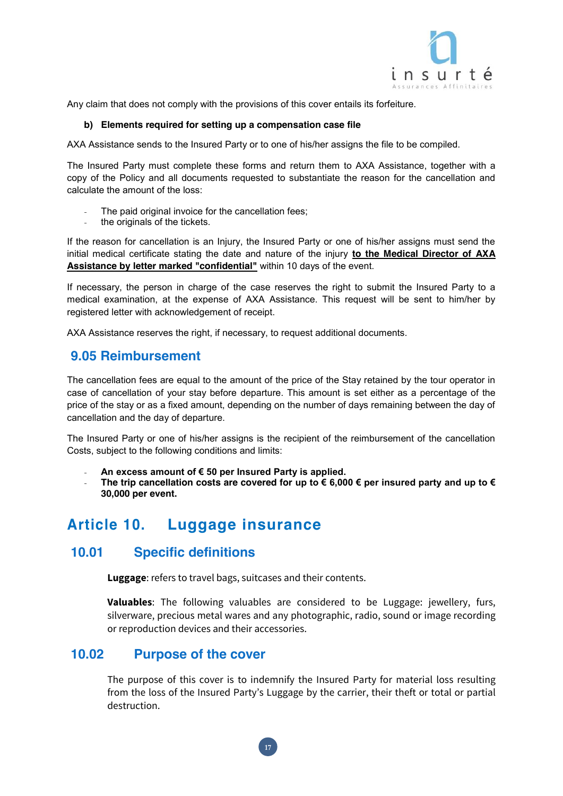

Any claim that does not comply with the provisions of this cover entails its forfeiture.

#### **b) Elements required for setting up a compensation case file**

AXA Assistance sends to the Insured Party or to one of his/her assigns the file to be compiled.

The Insured Party must complete these forms and return them to AXA Assistance, together with a copy of the Policy and all documents requested to substantiate the reason for the cancellation and calculate the amount of the loss:

- The paid original invoice for the cancellation fees;
- the originals of the tickets.

If the reason for cancellation is an Injury, the Insured Party or one of his/her assigns must send the initial medical certificate stating the date and nature of the injury **to the Medical Director of AXA Assistance by letter marked "confidential"** within 10 days of the event.

If necessary, the person in charge of the case reserves the right to submit the Insured Party to a medical examination, at the expense of AXA Assistance. This request will be sent to him/her by registered letter with acknowledgement of receipt.

AXA Assistance reserves the right, if necessary, to request additional documents.

## **9.05 Reimbursement**

The cancellation fees are equal to the amount of the price of the Stay retained by the tour operator in case of cancellation of your stay before departure. This amount is set either as a percentage of the price of the stay or as a fixed amount, depending on the number of days remaining between the day of cancellation and the day of departure.

The Insured Party or one of his/her assigns is the recipient of the reimbursement of the cancellation Costs, subject to the following conditions and limits:

- **An excess amount of € 50 per Insured Party is applied.**
- The trip cancellation costs are covered for up to  $\epsilon$  6,000  $\epsilon$  per insured party and up to  $\epsilon$ **30,000 per event.**

# **Article 10. Luggage insurance**

## **10.01 Specific definitions**

**Luggage**: refers to travel bags, suitcases and their contents.

**Valuables**: The following valuables are considered to be Luggage: jewellery, furs, silverware, precious metal wares and any photographic, radio, sound or image recording or reproduction devices and their accessories.

#### **10.02 Purpose of the cover**

The purpose of this cover is to indemnify the Insured Party for material loss resulting from the loss of the Insured Party's Luggage by the carrier, their theft or total or partial destruction.

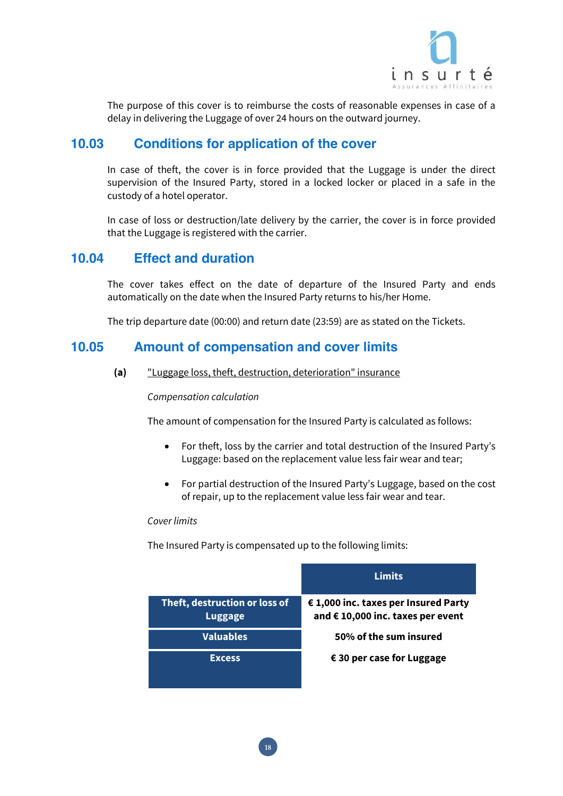

The purpose of this cover is to reimburse the costs of reasonable expenses in case of a delay in delivering the Luggage of over 24 hours on the outward journey.

## **10.03 Conditions for application of the cover**

In case of theft, the cover is in force provided that the Luggage is under the direct supervision of the Insured Party, stored in a locked locker or placed in a safe in the custody of a hotel operator.

In case of loss or destruction/late delivery by the carrier, the cover is in force provided that the Luggage is registered with the carrier.

## **10.04 Effect and duration**

The cover takes effect on the date of departure of the Insured Party and ends automatically on the date when the Insured Party returns to his/her Home.

The trip departure date (00:00) and return date (23:59) are as stated on the Tickets.

#### **10.05 Amount of compensation and cover limits**

**(a)** "Luggage loss, theft, destruction, deterioration" insurance

#### Compensation calculation

The amount of compensation for the Insured Party is calculated as follows:

- For theft, loss by the carrier and total destruction of the Insured Party's Luggage: based on the replacement value less fair wear and tear;
- For partial destruction of the Insured Party's Luggage, based on the cost of repair, up to the replacement value less fair wear and tear.

#### Cover limits

The Insured Party is compensated up to the following limits:

|                                                 | Limits                                                                    |
|-------------------------------------------------|---------------------------------------------------------------------------|
| Theft, destruction or loss of<br><b>Luggage</b> | € 1,000 inc. taxes per Insured Party<br>and € 10,000 inc. taxes per event |
| <b>Valuables</b>                                | 50% of the sum insured                                                    |
| <b>Excess</b>                                   | $\epsilon$ 30 per case for Luggage                                        |

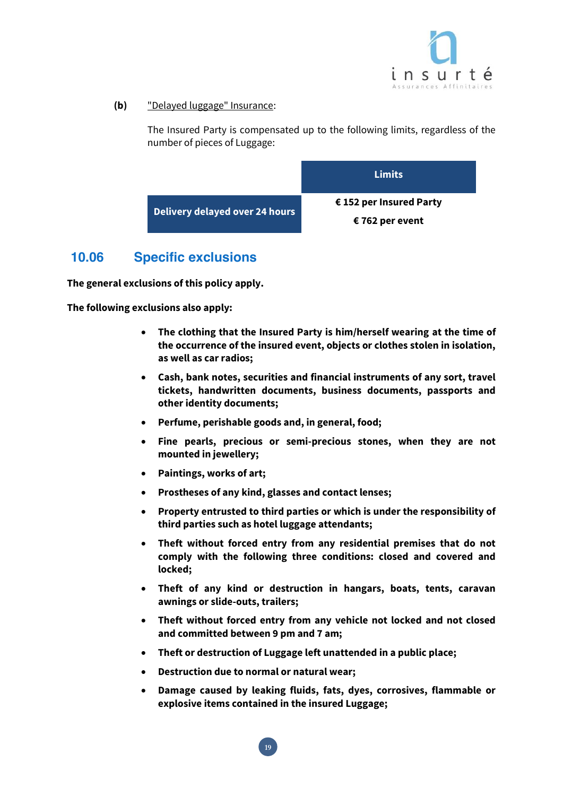

**(b)** "Delayed luggage" Insurance:

The Insured Party is compensated up to the following limits, regardless of the number of pieces of Luggage:



## **10.06 Specific exclusions**

**The general exclusions of this policy apply.** 

**The following exclusions also apply:** 

- x **The clothing that the Insured Party is him/herself wearing at the time of the occurrence of the insured event, objects or clothes stolen in isolation, as well as car radios;**
- x **Cash, bank notes, securities and financial instruments of any sort, travel tickets, handwritten documents, business documents, passports and other identity documents;**
- x **Perfume, perishable goods and, in general, food;**
- x **Fine pearls, precious or semi-precious stones, when they are not mounted in jewellery;**
- x **Paintings, works of art;**
- x **Prostheses of any kind, glasses and contact lenses;**
- x **Property entrusted to third parties or which is under the responsibility of third parties such as hotel luggage attendants;**
- x **Theft without forced entry from any residential premises that do not comply with the following three conditions: closed and covered and locked;**
- x **Theft of any kind or destruction in hangars, boats, tents, caravan awnings or slide-outs, trailers;**
- x **Theft without forced entry from any vehicle not locked and not closed and committed between 9 pm and 7 am;**
- x **Theft or destruction of Luggage left unattended in a public place;**
- x **Destruction due to normal or natural wear;**

**19**

x **Damage caused by leaking fluids, fats, dyes, corrosives, flammable or explosive items contained in the insured Luggage;**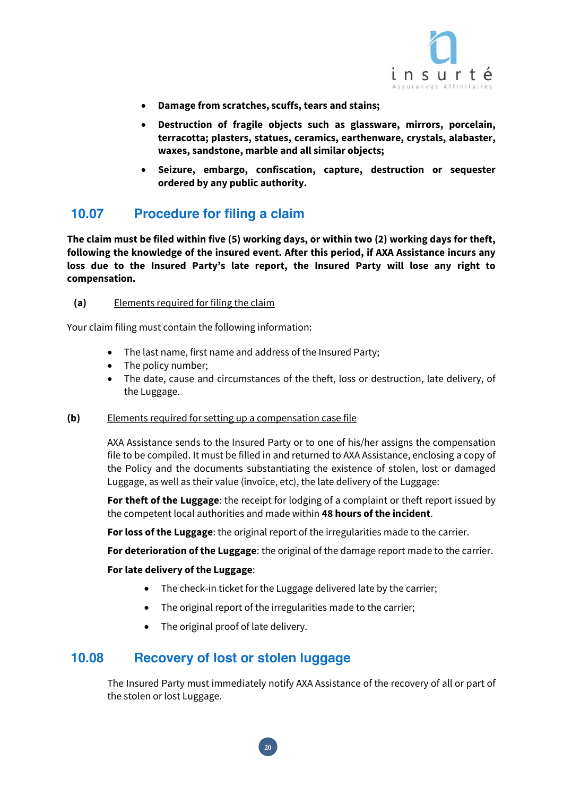

- x **Damage from scratches, scuffs, tears and stains;**
- x **Destruction of fragile objects such as glassware, mirrors, porcelain, terracotta; plasters, statues, ceramics, earthenware, crystals, alabaster, waxes, sandstone, marble and all similar objects;**
- x **Seizure, embargo, confiscation, capture, destruction or sequester ordered by any public authority.**

## **10.07 Procedure for filing a claim**

**The claim must be filed within five (5) working days, or within two (2) working days for theft, following the knowledge of the insured event. After this period, if AXA Assistance incurs any loss due to the Insured Party's late report, the Insured Party will lose any right to compensation.**

#### **(a)** Elements required for filing the claim

Your claim filing must contain the following information:

- The last name, first name and address of the Insured Party;
- $\bullet$  The policy number;
- The date, cause and circumstances of the theft, loss or destruction, late delivery, of the Luggage.

#### **(b)** Elements required for setting up a compensation case file

AXA Assistance sends to the Insured Party or to one of his/her assigns the compensation file to be compiled. It must be filled in and returned to AXA Assistance, enclosing a copy of the Policy and the documents substantiating the existence of stolen, lost or damaged Luggage, as well as their value (invoice, etc), the late delivery of the Luggage:

**For theft of the Luggage**: the receipt for lodging of a complaint or theft report issued by the competent local authorities and made within **48 hours of the incident**.

**For loss of the Luggage**: the original report of the irregularities made to the carrier.

**For deterioration of the Luggage**: the original of the damage report made to the carrier.

#### **For late delivery of the Luggage**:

- $\bullet$  The check-in ticket for the Luggage delivered late by the carrier;
- The original report of the irregularities made to the carrier;
- The original proof of late delivery.

#### **10.08 Recovery of lost or stolen luggage**

The Insured Party must immediately notify AXA Assistance of the recovery of all or part of the stolen or lost Luggage.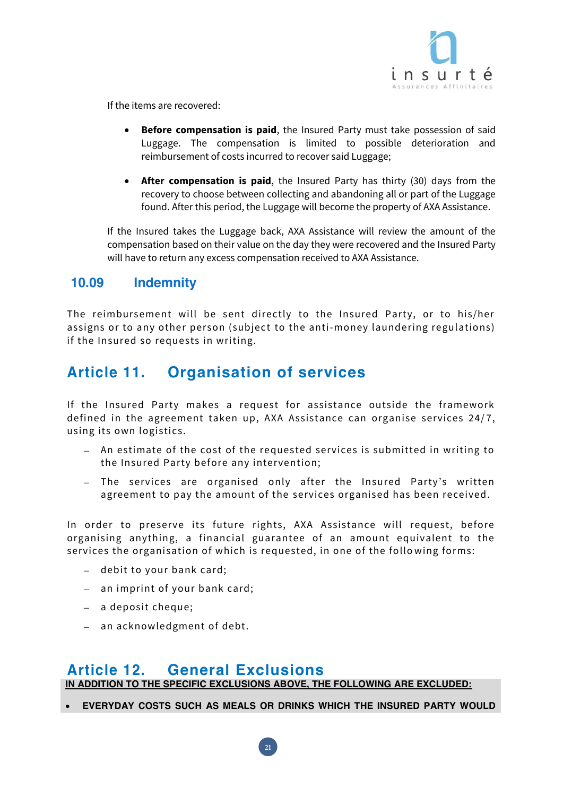

If the items are recovered:

- **Before compensation is paid**, the Insured Party must take possession of said Luggage. The compensation is limited to possible deterioration and reimbursement of costs incurred to recover said Luggage;
- **After compensation is paid**, the Insured Party has thirty (30) days from the recovery to choose between collecting and abandoning all or part of the Luggage found. After this period, the Luggage will become the property of AXA Assistance.

If the Insured takes the Luggage back, AXA Assistance will review the amount of the compensation based on their value on the day they were recovered and the Insured Party will have to return any excess compensation received to AXA Assistance.

## **10.09 Indemnity**

The reimbursement will be sent directly to the Insured Party, or to his/her assigns or to any other person (subject to the anti-money laundering regulations) if the Insured so requests in writing.

# **Article 11. Organisation of services**

If the Insured Party makes a request for assistance outside the framework defined in the agreement taken up, AXA Assistance can organise services 24/7, using its own logistics.

- An estimate of the cost of the requested services is submitted in writing to the Insured Party before any intervention;
- The services are organised only after the Insured Party's written agreement to pay the amount of the services organised has been received.

In order to preserve its future rights, AXA Assistance will request, before organising anything, a financial guarantee of an amount equivalent to the services the organisation of which is requested, in one of the follo wing forms:

- debit to your bank card;
- an imprint of your bank card;
- a deposit cheque;
- an acknowledgment of debt.

## **Article 12. General Exclusions**

**IN ADDITION TO THE SPECIFIC EXCLUSIONS ABOVE, THE FOLLOWING ARE EXCLUDED:**

**21**

x **EVERYDAY COSTS SUCH AS MEALS OR DRINKS WHICH THE INSURED PARTY WOULD**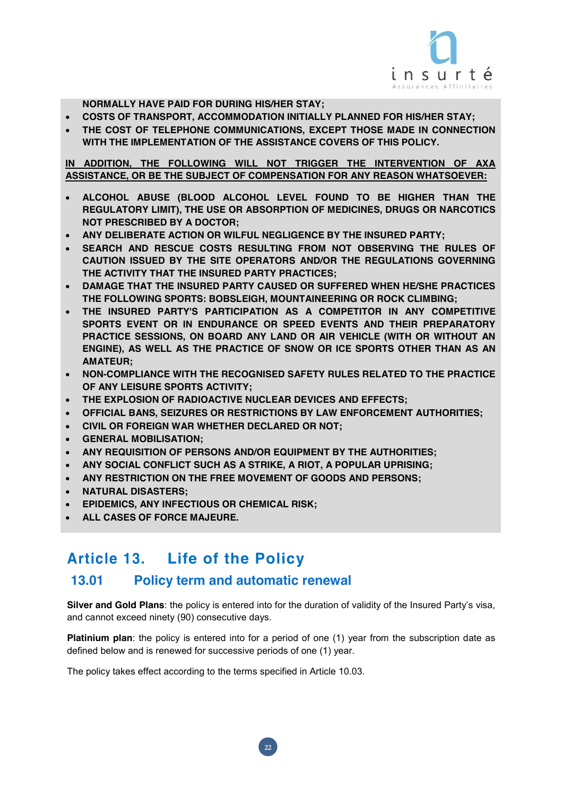

**NORMALLY HAVE PAID FOR DURING HIS/HER STAY;**

- x **COSTS OF TRANSPORT, ACCOMMODATION INITIALLY PLANNED FOR HIS/HER STAY;**
- x **THE COST OF TELEPHONE COMMUNICATIONS, EXCEPT THOSE MADE IN CONNECTION WITH THE IMPLEMENTATION OF THE ASSISTANCE COVERS OF THIS POLICY.**

**IN ADDITION, THE FOLLOWING WILL NOT TRIGGER THE INTERVENTION OF AXA ASSISTANCE, OR BE THE SUBJECT OF COMPENSATION FOR ANY REASON WHATSOEVER:**

- x **ALCOHOL ABUSE (BLOOD ALCOHOL LEVEL FOUND TO BE HIGHER THAN THE REGULATORY LIMIT), THE USE OR ABSORPTION OF MEDICINES, DRUGS OR NARCOTICS NOT PRESCRIBED BY A DOCTOR;**
- x **ANY DELIBERATE ACTION OR WILFUL NEGLIGENCE BY THE INSURED PARTY;**
- x **SEARCH AND RESCUE COSTS RESULTING FROM NOT OBSERVING THE RULES OF CAUTION ISSUED BY THE SITE OPERATORS AND/OR THE REGULATIONS GOVERNING THE ACTIVITY THAT THE INSURED PARTY PRACTICES;**
- x **DAMAGE THAT THE INSURED PARTY CAUSED OR SUFFERED WHEN HE/SHE PRACTICES THE FOLLOWING SPORTS: BOBSLEIGH, MOUNTAINEERING OR ROCK CLIMBING;**
- x **THE INSURED PARTY'S PARTICIPATION AS A COMPETITOR IN ANY COMPETITIVE SPORTS EVENT OR IN ENDURANCE OR SPEED EVENTS AND THEIR PREPARATORY PRACTICE SESSIONS, ON BOARD ANY LAND OR AIR VEHICLE (WITH OR WITHOUT AN ENGINE), AS WELL AS THE PRACTICE OF SNOW OR ICE SPORTS OTHER THAN AS AN AMATEUR;**
- x **NON-COMPLIANCE WITH THE RECOGNISED SAFETY RULES RELATED TO THE PRACTICE OF ANY LEISURE SPORTS ACTIVITY;**
- x **THE EXPLOSION OF RADIOACTIVE NUCLEAR DEVICES AND EFFECTS;**
- x **OFFICIAL BANS, SEIZURES OR RESTRICTIONS BY LAW ENFORCEMENT AUTHORITIES;**
- x **CIVIL OR FOREIGN WAR WHETHER DECLARED OR NOT;**
- x **GENERAL MOBILISATION;**
- x **ANY REQUISITION OF PERSONS AND/OR EQUIPMENT BY THE AUTHORITIES;**
- x **ANY SOCIAL CONFLICT SUCH AS A STRIKE, A RIOT, A POPULAR UPRISING;**
- x **ANY RESTRICTION ON THE FREE MOVEMENT OF GOODS AND PERSONS;**
- x **NATURAL DISASTERS;**
- x **EPIDEMICS, ANY INFECTIOUS OR CHEMICAL RISK;**
- x **ALL CASES OF FORCE MAJEURE.**

# **Article 13. Life of the Policy**

#### **13.01 Policy term and automatic renewal**

**Silver and Gold Plans**: the policy is entered into for the duration of validity of the Insured Party's visa, and cannot exceed ninety (90) consecutive days.

**Platinium plan**: the policy is entered into for a period of one (1) year from the subscription date as defined below and is renewed for successive periods of one (1) year.

**22**

The policy takes effect according to the terms specified in Article 10.03.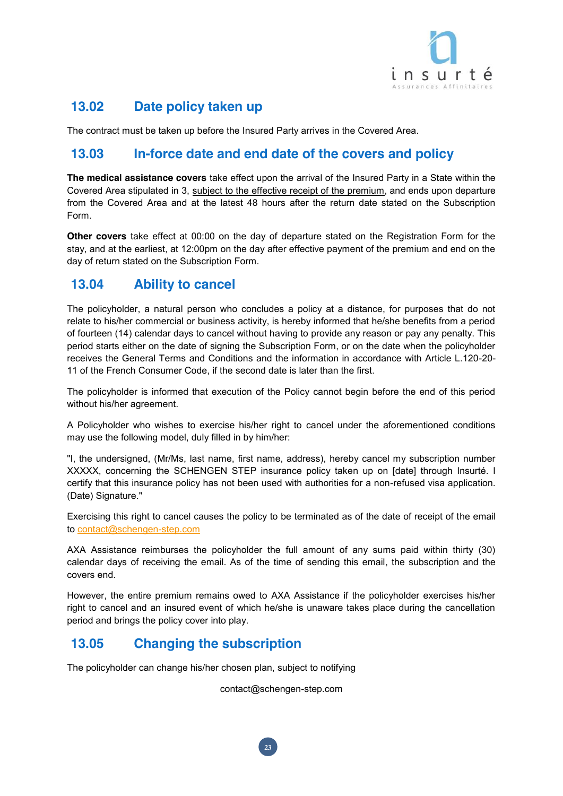

## **13.02 Date policy taken up**

The contract must be taken up before the Insured Party arrives in the Covered Area.

## **13.03 In-force date and end date of the covers and policy**

**The medical assistance covers** take effect upon the arrival of the Insured Party in a State within the Covered Area stipulated in 3, subject to the effective receipt of the premium, and ends upon departure from the Covered Area and at the latest 48 hours after the return date stated on the Subscription Form.

**Other covers** take effect at 00:00 on the day of departure stated on the Registration Form for the stay, and at the earliest, at 12:00pm on the day after effective payment of the premium and end on the day of return stated on the Subscription Form.

## **13.04 Ability to cancel**

The policyholder, a natural person who concludes a policy at a distance, for purposes that do not relate to his/her commercial or business activity, is hereby informed that he/she benefits from a period of fourteen (14) calendar days to cancel without having to provide any reason or pay any penalty. This period starts either on the date of signing the Subscription Form, or on the date when the policyholder receives the General Terms and Conditions and the information in accordance with Article L.120-20- 11 of the French Consumer Code, if the second date is later than the first.

The policyholder is informed that execution of the Policy cannot begin before the end of this period without his/her agreement.

A Policyholder who wishes to exercise his/her right to cancel under the aforementioned conditions may use the following model, duly filled in by him/her:

"I, the undersigned, (Mr/Ms, last name, first name, address), hereby cancel my subscription number XXXXX, concerning the SCHENGEN STEP insurance policy taken up on [date] through Insurté. I certify that this insurance policy has not been used with authorities for a non-refused visa application. (Date) Signature."

Exercising this right to cancel causes the policy to be terminated as of the date of receipt of the email to contact@schengen-step.com

AXA Assistance reimburses the policyholder the full amount of any sums paid within thirty (30) calendar days of receiving the email. As of the time of sending this email, the subscription and the covers end.

However, the entire premium remains owed to AXA Assistance if the policyholder exercises his/her right to cancel and an insured event of which he/she is unaware takes place during the cancellation period and brings the policy cover into play.

## **13.05 Changing the subscription**

The policyholder can change his/her chosen plan, subject to notifying

contact@schengen-step.com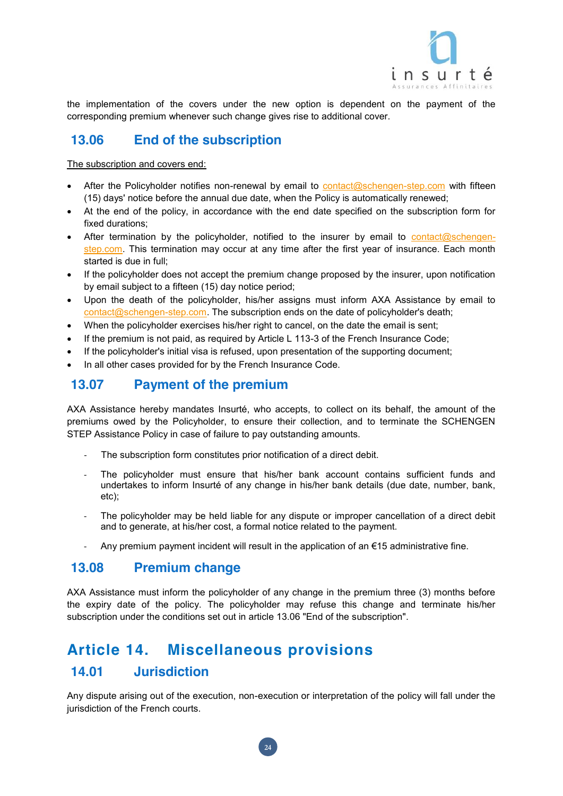

the implementation of the covers under the new option is dependent on the payment of the corresponding premium whenever such change gives rise to additional cover.

## **13.06 End of the subscription**

The subscription and covers end:

- After the Policyholder notifies non-renewal by email to contact@schengen-step.com with fifteen (15) days' notice before the annual due date, when the Policy is automatically renewed;
- At the end of the policy, in accordance with the end date specified on the subscription form for fixed durations;
- After termination by the policyholder, notified to the insurer by email to contact@schengenstep.com. This termination may occur at any time after the first year of insurance. Each month started is due in full;
- If the policyholder does not accept the premium change proposed by the insurer, upon notification by email subject to a fifteen (15) day notice period;
- Upon the death of the policyholder, his/her assigns must inform AXA Assistance by email to contact@schengen-step.com. The subscription ends on the date of policyholder's death;
- When the policyholder exercises his/her right to cancel, on the date the email is sent;
- If the premium is not paid, as required by Article L 113-3 of the French Insurance Code;
- If the policyholder's initial visa is refused, upon presentation of the supporting document;
- In all other cases provided for by the French Insurance Code.

## **13.07 Payment of the premium**

AXA Assistance hereby mandates Insurté, who accepts, to collect on its behalf, the amount of the premiums owed by the Policyholder, to ensure their collection, and to terminate the SCHENGEN STEP Assistance Policy in case of failure to pay outstanding amounts.

- The subscription form constitutes prior notification of a direct debit.
- The policyholder must ensure that his/her bank account contains sufficient funds and undertakes to inform Insurté of any change in his/her bank details (due date, number, bank, etc);
- The policyholder may be held liable for any dispute or improper cancellation of a direct debit and to generate, at his/her cost, a formal notice related to the payment.
- Any premium payment incident will result in the application of an  $\epsilon$ 15 administrative fine.

## **13.08 Premium change**

AXA Assistance must inform the policyholder of any change in the premium three (3) months before the expiry date of the policy. The policyholder may refuse this change and terminate his/her subscription under the conditions set out in article 13.06 "End of the subscription".

# **Article 14. Miscellaneous provisions**

## **14.01 Jurisdiction**

Any dispute arising out of the execution, non-execution or interpretation of the policy will fall under the jurisdiction of the French courts.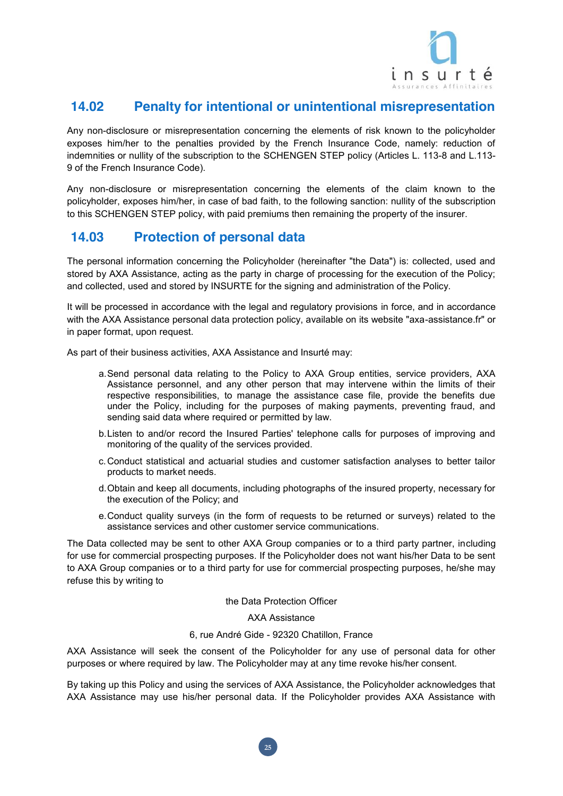

## **14.02 Penalty for intentional or unintentional misrepresentation**

Any non-disclosure or misrepresentation concerning the elements of risk known to the policyholder exposes him/her to the penalties provided by the French Insurance Code, namely: reduction of indemnities or nullity of the subscription to the SCHENGEN STEP policy (Articles L. 113-8 and L.113- 9 of the French Insurance Code).

Any non-disclosure or misrepresentation concerning the elements of the claim known to the policyholder, exposes him/her, in case of bad faith, to the following sanction: nullity of the subscription to this SCHENGEN STEP policy, with paid premiums then remaining the property of the insurer.

## **14.03 Protection of personal data**

The personal information concerning the Policyholder (hereinafter "the Data") is: collected, used and stored by AXA Assistance, acting as the party in charge of processing for the execution of the Policy; and collected, used and stored by INSURTE for the signing and administration of the Policy.

It will be processed in accordance with the legal and regulatory provisions in force, and in accordance with the AXA Assistance personal data protection policy, available on its website "axa-assistance.fr" or in paper format, upon request.

As part of their business activities, AXA Assistance and Insurté may:

- a.Send personal data relating to the Policy to AXA Group entities, service providers, AXA Assistance personnel, and any other person that may intervene within the limits of their respective responsibilities, to manage the assistance case file, provide the benefits due under the Policy, including for the purposes of making payments, preventing fraud, and sending said data where required or permitted by law.
- b.Listen to and/or record the Insured Parties' telephone calls for purposes of improving and monitoring of the quality of the services provided.
- c.Conduct statistical and actuarial studies and customer satisfaction analyses to better tailor products to market needs.
- d.Obtain and keep all documents, including photographs of the insured property, necessary for the execution of the Policy; and
- e.Conduct quality surveys (in the form of requests to be returned or surveys) related to the assistance services and other customer service communications.

The Data collected may be sent to other AXA Group companies or to a third party partner, including for use for commercial prospecting purposes. If the Policyholder does not want his/her Data to be sent to AXA Group companies or to a third party for use for commercial prospecting purposes, he/she may refuse this by writing to

the Data Protection Officer

AXA Assistance

#### 6, rue André Gide - 92320 Chatillon, France

AXA Assistance will seek the consent of the Policyholder for any use of personal data for other purposes or where required by law. The Policyholder may at any time revoke his/her consent.

By taking up this Policy and using the services of AXA Assistance, the Policyholder acknowledges that AXA Assistance may use his/her personal data. If the Policyholder provides AXA Assistance with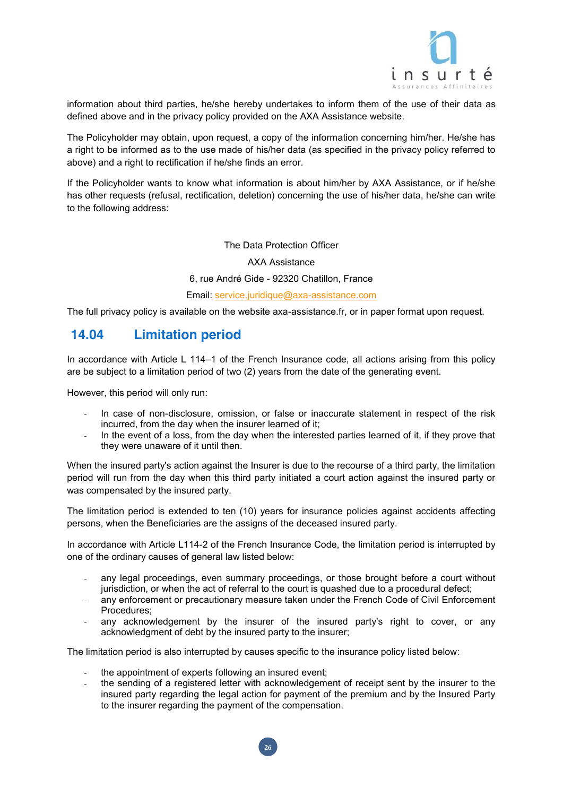

information about third parties, he/she hereby undertakes to inform them of the use of their data as defined above and in the privacy policy provided on the AXA Assistance website.

The Policyholder may obtain, upon request, a copy of the information concerning him/her. He/she has a right to be informed as to the use made of his/her data (as specified in the privacy policy referred to above) and a right to rectification if he/she finds an error.

If the Policyholder wants to know what information is about him/her by AXA Assistance, or if he/she has other requests (refusal, rectification, deletion) concerning the use of his/her data, he/she can write to the following address:

#### The Data Protection Officer

AXA Assistance

6, rue André Gide - 92320 Chatillon, France

#### Email: service.juridique@axa-assistance.com

The full privacy policy is available on the website axa-assistance.fr, or in paper format upon request.

## **14.04 Limitation period**

In accordance with Article L 114–1 of the French Insurance code, all actions arising from this policy are be subject to a limitation period of two (2) years from the date of the generating event.

However, this period will only run:

- In case of non-disclosure, omission, or false or inaccurate statement in respect of the risk incurred, from the day when the insurer learned of it;
- In the event of a loss, from the day when the interested parties learned of it, if they prove that they were unaware of it until then.

When the insured party's action against the Insurer is due to the recourse of a third party, the limitation period will run from the day when this third party initiated a court action against the insured party or was compensated by the insured party.

The limitation period is extended to ten (10) years for insurance policies against accidents affecting persons, when the Beneficiaries are the assigns of the deceased insured party.

In accordance with Article L114-2 of the French Insurance Code, the limitation period is interrupted by one of the ordinary causes of general law listed below:

- any legal proceedings, even summary proceedings, or those brought before a court without jurisdiction, or when the act of referral to the court is quashed due to a procedural defect;
- any enforcement or precautionary measure taken under the French Code of Civil Enforcement Procedures;
- any acknowledgement by the insurer of the insured party's right to cover, or any acknowledgment of debt by the insured party to the insurer;

The limitation period is also interrupted by causes specific to the insurance policy listed below:

- the appointment of experts following an insured event;
- the sending of a registered letter with acknowledgement of receipt sent by the insurer to the insured party regarding the legal action for payment of the premium and by the Insured Party to the insurer regarding the payment of the compensation.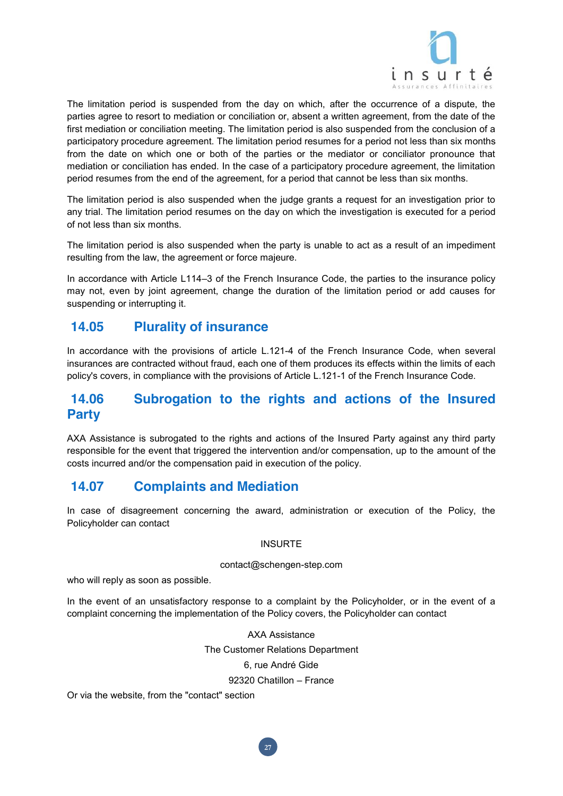

The limitation period is suspended from the day on which, after the occurrence of a dispute, the parties agree to resort to mediation or conciliation or, absent a written agreement, from the date of the first mediation or conciliation meeting. The limitation period is also suspended from the conclusion of a participatory procedure agreement. The limitation period resumes for a period not less than six months from the date on which one or both of the parties or the mediator or conciliator pronounce that mediation or conciliation has ended. In the case of a participatory procedure agreement, the limitation period resumes from the end of the agreement, for a period that cannot be less than six months.

The limitation period is also suspended when the judge grants a request for an investigation prior to any trial. The limitation period resumes on the day on which the investigation is executed for a period of not less than six months.

The limitation period is also suspended when the party is unable to act as a result of an impediment resulting from the law, the agreement or force majeure.

In accordance with Article L114–3 of the French Insurance Code, the parties to the insurance policy may not, even by joint agreement, change the duration of the limitation period or add causes for suspending or interrupting it.

## **14.05 Plurality of insurance**

In accordance with the provisions of article L.121-4 of the French Insurance Code, when several insurances are contracted without fraud, each one of them produces its effects within the limits of each policy's covers, in compliance with the provisions of Article L.121-1 of the French Insurance Code.

## **14.06 Subrogation to the rights and actions of the Insured Party**

AXA Assistance is subrogated to the rights and actions of the Insured Party against any third party responsible for the event that triggered the intervention and/or compensation, up to the amount of the costs incurred and/or the compensation paid in execution of the policy.

## **14.07 Complaints and Mediation**

In case of disagreement concerning the award, administration or execution of the Policy, the Policyholder can contact

#### INSURTE

#### contact@schengen-step.com

who will reply as soon as possible.

In the event of an unsatisfactory response to a complaint by the Policyholder, or in the event of a complaint concerning the implementation of the Policy covers, the Policyholder can contact

> AXA Assistance The Customer Relations Department 6, rue André Gide 92320 Chatillon – France

> > **27**

Or via the website, from the "contact" section